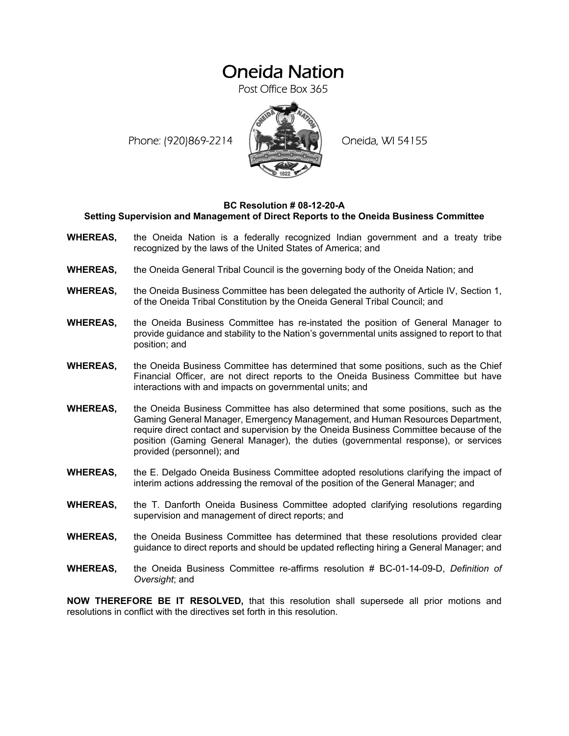## Oneida Nation

Post Office Box 365

Phone: (920)869-2214 (XXXXXXX) Oneida, WI 54155



## **BC Resolution # 08-12-20-A Setting Supervision and Management of Direct Reports to the Oneida Business Committee**

- **WHEREAS,** the Oneida Nation is a federally recognized Indian government and a treaty tribe recognized by the laws of the United States of America; and
- **WHEREAS,** the Oneida General Tribal Council is the governing body of the Oneida Nation; and
- **WHEREAS,** the Oneida Business Committee has been delegated the authority of Article IV, Section 1, of the Oneida Tribal Constitution by the Oneida General Tribal Council; and
- **WHEREAS,** the Oneida Business Committee has re-instated the position of General Manager to provide guidance and stability to the Nation's governmental units assigned to report to that position; and
- **WHEREAS,** the Oneida Business Committee has determined that some positions, such as the Chief Financial Officer, are not direct reports to the Oneida Business Committee but have interactions with and impacts on governmental units; and
- **WHEREAS,** the Oneida Business Committee has also determined that some positions, such as the Gaming General Manager, Emergency Management, and Human Resources Department, require direct contact and supervision by the Oneida Business Committee because of the position (Gaming General Manager), the duties (governmental response), or services provided (personnel); and
- **WHEREAS,** the E. Delgado Oneida Business Committee adopted resolutions clarifying the impact of interim actions addressing the removal of the position of the General Manager; and
- **WHEREAS,** the T. Danforth Oneida Business Committee adopted clarifying resolutions regarding supervision and management of direct reports; and
- **WHEREAS,** the Oneida Business Committee has determined that these resolutions provided clear guidance to direct reports and should be updated reflecting hiring a General Manager; and
- **WHEREAS,** the Oneida Business Committee re-affirms resolution # BC-01-14-09-D, *Definition of Oversight*; and

**NOW THEREFORE BE IT RESOLVED,** that this resolution shall supersede all prior motions and resolutions in conflict with the directives set forth in this resolution.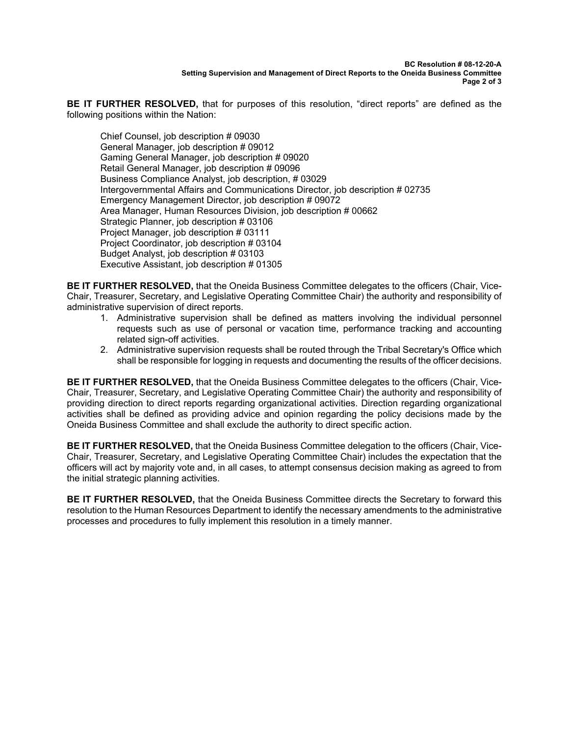**BE IT FURTHER RESOLVED,** that for purposes of this resolution, "direct reports" are defined as the following positions within the Nation:

Chief Counsel, job description # 09030 General Manager, job description # 09012 Gaming General Manager, job description # 09020 Retail General Manager, job description # 09096 Business Compliance Analyst, job description, # 03029 Intergovernmental Affairs and Communications Director, job description # 02735 Emergency Management Director, job description # 09072 Area Manager, Human Resources Division, job description # 00662 Strategic Planner, job description # 03106 Project Manager, job description # 03111 Project Coordinator, job description # 03104 Budget Analyst, job description # 03103 Executive Assistant, job description # 01305

**BE IT FURTHER RESOLVED,** that the Oneida Business Committee delegates to the officers (Chair, Vice-Chair, Treasurer, Secretary, and Legislative Operating Committee Chair) the authority and responsibility of administrative supervision of direct reports.

- 1. Administrative supervision shall be defined as matters involving the individual personnel requests such as use of personal or vacation time, performance tracking and accounting related sign-off activities.
- 2. Administrative supervision requests shall be routed through the Tribal Secretary's Office which shall be responsible for logging in requests and documenting the results of the officer decisions.

**BE IT FURTHER RESOLVED,** that the Oneida Business Committee delegates to the officers (Chair, Vice-Chair, Treasurer, Secretary, and Legislative Operating Committee Chair) the authority and responsibility of providing direction to direct reports regarding organizational activities. Direction regarding organizational activities shall be defined as providing advice and opinion regarding the policy decisions made by the Oneida Business Committee and shall exclude the authority to direct specific action.

**BE IT FURTHER RESOLVED,** that the Oneida Business Committee delegation to the officers (Chair, Vice-Chair, Treasurer, Secretary, and Legislative Operating Committee Chair) includes the expectation that the officers will act by majority vote and, in all cases, to attempt consensus decision making as agreed to from the initial strategic planning activities.

**BE IT FURTHER RESOLVED,** that the Oneida Business Committee directs the Secretary to forward this resolution to the Human Resources Department to identify the necessary amendments to the administrative processes and procedures to fully implement this resolution in a timely manner.